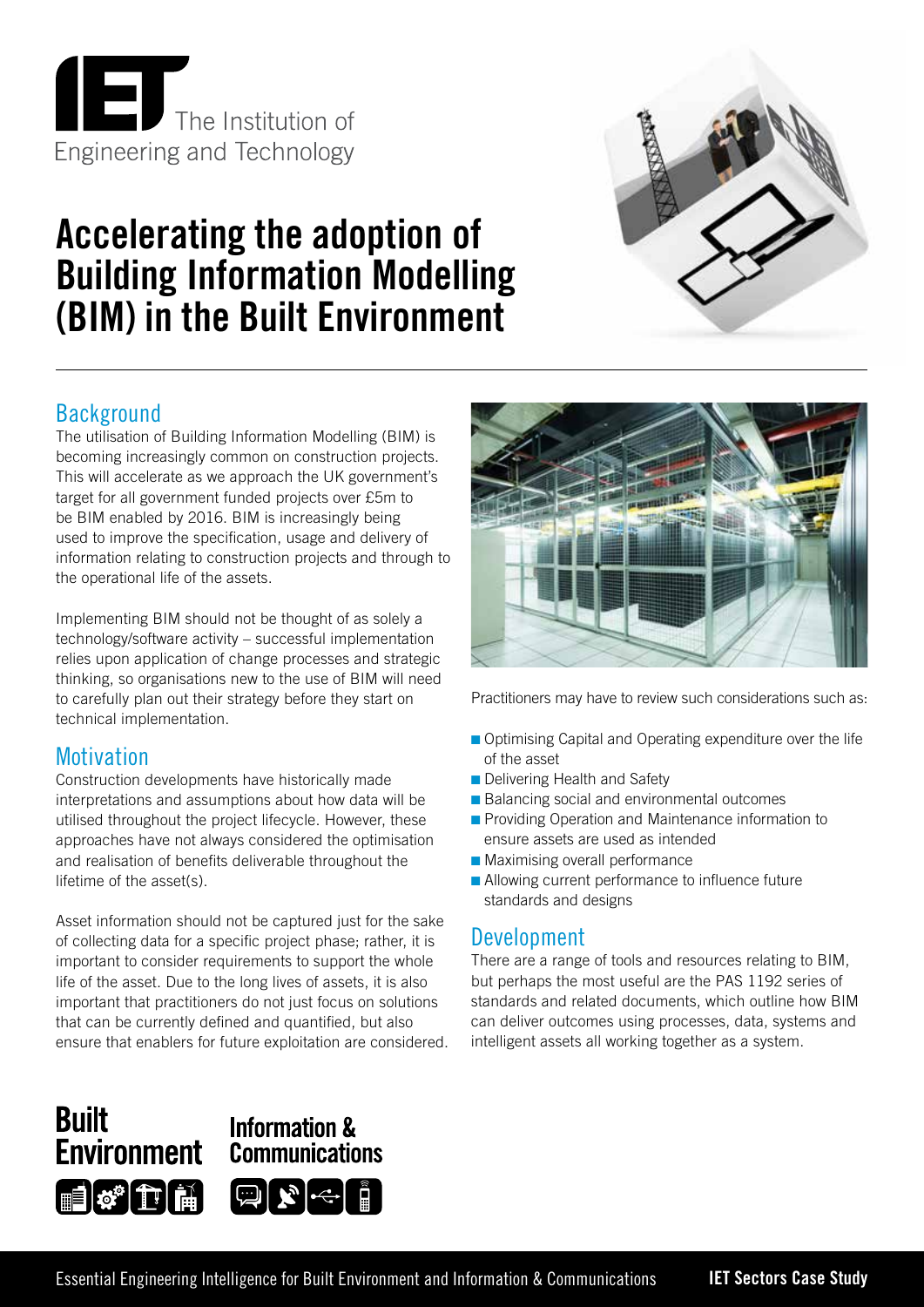

# **Accelerating the adoption of Building Information Modelling (BIM) in the Built Environment**



## **Background**

The utilisation of Building Information Modelling (BIM) is becoming increasingly common on construction projects. This will accelerate as we approach the UK government's target for all government funded projects over £5m to be BIM enabled by 2016. BIM is increasingly being used to improve the specification, usage and delivery of information relating to construction projects and through to the operational life of the assets.

Implementing BIM should not be thought of as solely a technology/software activity – successful implementation relies upon application of change processes and strategic thinking, so organisations new to the use of BIM will need to carefully plan out their strategy before they start on technical implementation.

## **Motivation**

Construction developments have historically made interpretations and assumptions about how data will be utilised throughout the project lifecycle. However, these approaches have not always considered the optimisation and realisation of benefits deliverable throughout the lifetime of the asset(s).

Asset information should not be captured just for the sake of collecting data for a specific project phase; rather, it is important to consider requirements to support the whole life of the asset. Due to the long lives of assets, it is also important that practitioners do not just focus on solutions that can be currently defined and quantified, but also ensure that enablers for future exploitation are considered.



Practitioners may have to review such considerations such as:

- Optimising Capital and Operating expenditure over the life of the asset
- **n** Delivering Health and Safety
- Balancing social and environmental outcomes
- **n** Providing Operation and Maintenance information to ensure assets are used as intended
- **n** Maximising overall performance
- $\blacksquare$  Allowing current performance to influence future standards and designs

## Development

There are a range of tools and resources relating to BIM, but perhaps the most useful are the PAS 1192 series of standards and related documents, which outline how BIM can deliver outcomes using processes, data, systems and intelligent assets all working together as a system.

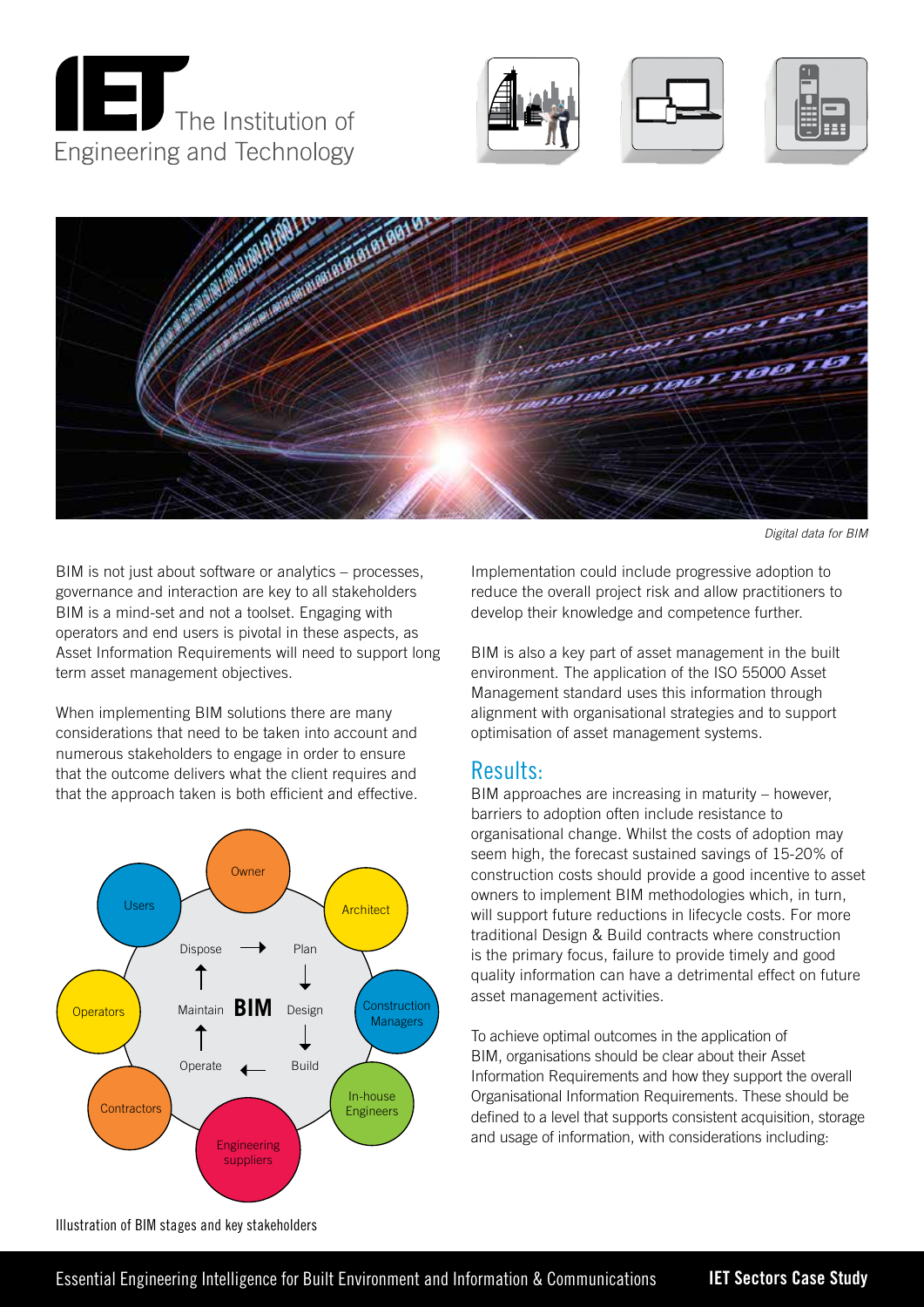









*Digital data for BIM*

BIM is not just about software or analytics – processes, governance and interaction are key to all stakeholders BIM is a mind-set and not a toolset. Engaging with operators and end users is pivotal in these aspects, as Asset Information Requirements will need to support long term asset management objectives.

When implementing BIM solutions there are many considerations that need to be taken into account and numerous stakeholders to engage in order to ensure that the outcome delivers what the client requires and that the approach taken is both efficient and effective.



Implementation could include progressive adoption to reduce the overall project risk and allow practitioners to develop their knowledge and competence further.

BIM is also a key part of asset management in the built environment. The application of the ISO 55000 Asset Management standard uses this information through alignment with organisational strategies and to support optimisation of asset management systems.

#### Results:

BIM approaches are increasing in maturity – however, barriers to adoption often include resistance to organisational change. Whilst the costs of adoption may seem high, the forecast sustained savings of 15-20% of construction costs should provide a good incentive to asset owners to implement BIM methodologies which, in turn, will support future reductions in lifecycle costs. For more traditional Design & Build contracts where construction is the primary focus, failure to provide timely and good quality information can have a detrimental effect on future asset management activities.

To achieve optimal outcomes in the application of BIM, organisations should be clear about their Asset Information Requirements and how they support the overall Organisational Information Requirements. These should be defined to a level that supports consistent acquisition, storage and usage of information, with considerations including:

Illustration of BIM stages and key stakeholders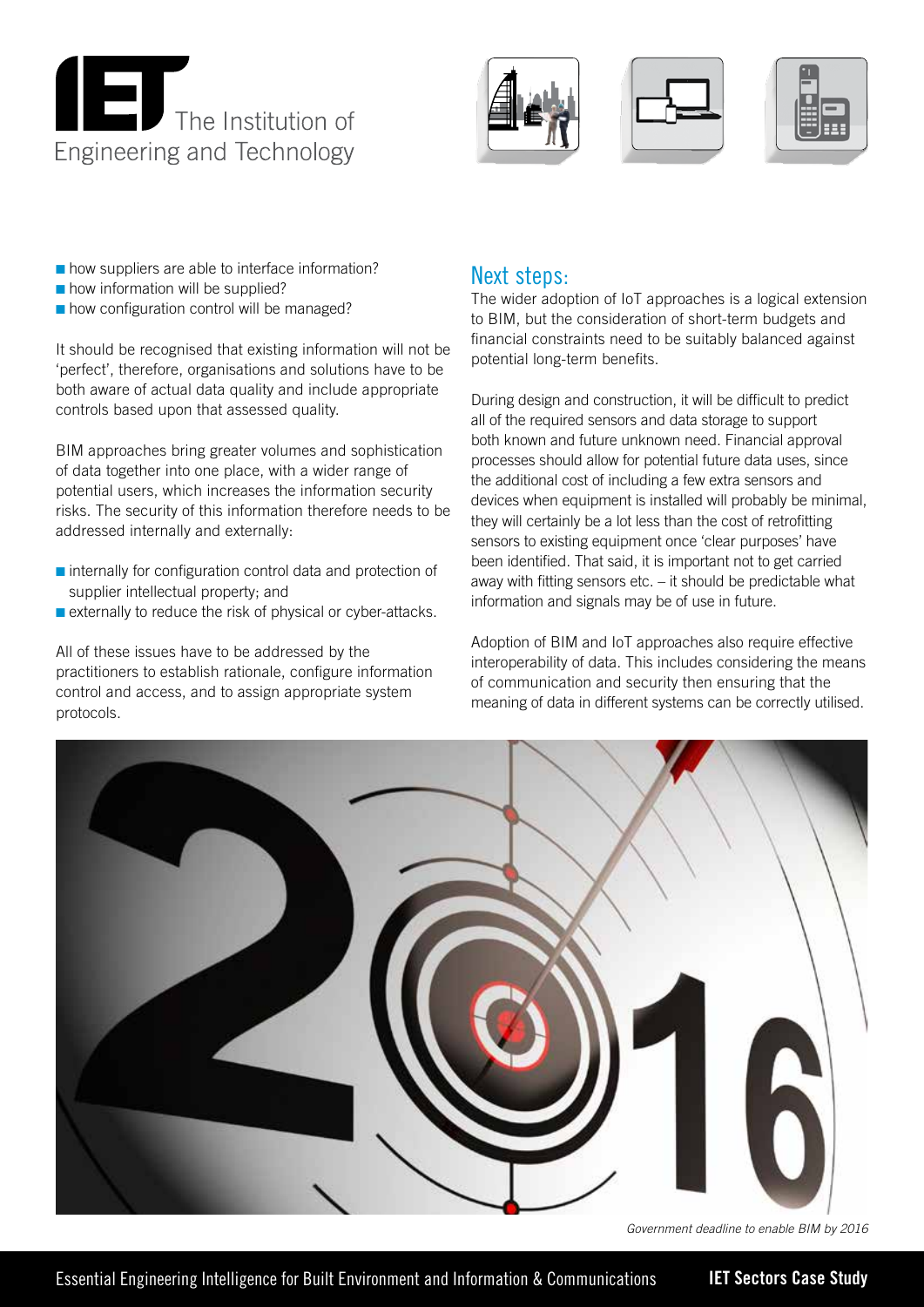







- $\blacksquare$  how suppliers are able to interface information?
- $\blacksquare$  how information will be supplied?
- $\blacksquare$  how configuration control will be managed?

It should be recognised that existing information will not be 'perfect', therefore, organisations and solutions have to be both aware of actual data quality and include appropriate controls based upon that assessed quality.

BIM approaches bring greater volumes and sophistication of data together into one place, with a wider range of potential users, which increases the information security risks. The security of this information therefore needs to be addressed internally and externally:

- $\blacksquare$  internally for configuration control data and protection of supplier intellectual property; and
- **n** externally to reduce the risk of physical or cyber-attacks.

All of these issues have to be addressed by the practitioners to establish rationale, configure information control and access, and to assign appropriate system protocols.

#### Next steps:

The wider adoption of IoT approaches is a logical extension to BIM, but the consideration of short-term budgets and financial constraints need to be suitably balanced against potential long-term benefits.

During design and construction, it will be difficult to predict all of the required sensors and data storage to support both known and future unknown need. Financial approval processes should allow for potential future data uses, since the additional cost of including a few extra sensors and devices when equipment is installed will probably be minimal, they will certainly be a lot less than the cost of retrofitting sensors to existing equipment once 'clear purposes' have been identified. That said, it is important not to get carried away with fitting sensors etc. – it should be predictable what information and signals may be of use in future.

Adoption of BIM and IoT approaches also require effective interoperability of data. This includes considering the means of communication and security then ensuring that the meaning of data in different systems can be correctly utilised.



*Government deadline to enable BIM by 2016*